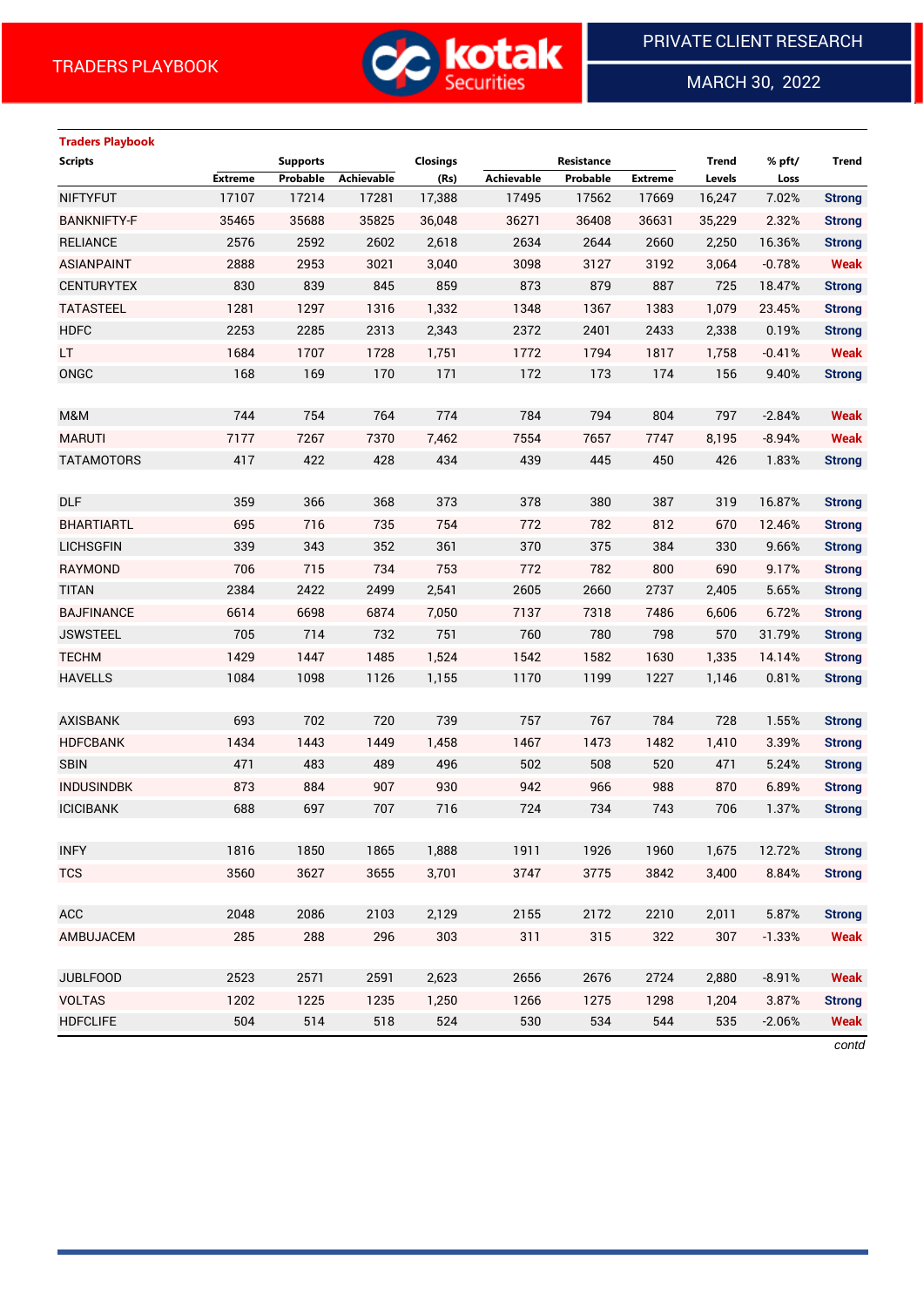

MARCH 30, 2022

 $\overline{a}$ 

# **Traders Playbook**

| <b>Scripts</b>     |                | <b>Supports</b> |                   | Closings |            | Resistance |                | Trend  | % pft/   | <b>Trend</b>  |
|--------------------|----------------|-----------------|-------------------|----------|------------|------------|----------------|--------|----------|---------------|
|                    | <b>Extreme</b> | Probable        | <b>Achievable</b> | (Rs)     | Achievable | Probable   | <b>Extreme</b> | Levels | Loss     |               |
| <b>NIFTYFUT</b>    | 17107          | 17214           | 17281             | 17,388   | 17495      | 17562      | 17669          | 16,247 | 7.02%    | <b>Strong</b> |
| <b>BANKNIFTY-F</b> | 35465          | 35688           | 35825             | 36,048   | 36271      | 36408      | 36631          | 35,229 | 2.32%    | <b>Strong</b> |
| <b>RELIANCE</b>    | 2576           | 2592            | 2602              | 2,618    | 2634       | 2644       | 2660           | 2,250  | 16.36%   | <b>Strong</b> |
| <b>ASIANPAINT</b>  | 2888           | 2953            | 3021              | 3,040    | 3098       | 3127       | 3192           | 3,064  | $-0.78%$ | <b>Weak</b>   |
| <b>CENTURYTEX</b>  | 830            | 839             | 845               | 859      | 873        | 879        | 887            | 725    | 18.47%   | <b>Strong</b> |
| <b>TATASTEEL</b>   | 1281           | 1297            | 1316              | 1,332    | 1348       | 1367       | 1383           | 1,079  | 23.45%   | <b>Strong</b> |
| <b>HDFC</b>        | 2253           | 2285            | 2313              | 2,343    | 2372       | 2401       | 2433           | 2,338  | 0.19%    | <b>Strong</b> |
| LT.                | 1684           | 1707            | 1728              | 1,751    | 1772       | 1794       | 1817           | 1,758  | $-0.41%$ | <b>Weak</b>   |
| ONGC               | 168            | 169             | 170               | 171      | 172        | 173        | 174            | 156    | 9.40%    | <b>Strong</b> |
|                    |                |                 |                   |          |            |            |                |        |          |               |
| M&M                | 744            | 754             | 764               | 774      | 784        | 794        | 804            | 797    | $-2.84%$ | <b>Weak</b>   |
| <b>MARUTI</b>      | 7177           | 7267            | 7370              | 7,462    | 7554       | 7657       | 7747           | 8,195  | $-8.94%$ | <b>Weak</b>   |
| <b>TATAMOTORS</b>  | 417            | 422             | 428               | 434      | 439        | 445        | 450            | 426    | 1.83%    | <b>Strong</b> |
|                    |                |                 |                   |          |            |            |                |        |          |               |
| <b>DLF</b>         | 359            | 366             | 368               | 373      | 378        | 380        | 387            | 319    | 16.87%   | <b>Strong</b> |
| <b>BHARTIARTL</b>  | 695            | 716             | 735               | 754      | 772        | 782        | 812            | 670    | 12.46%   | <b>Strong</b> |
| <b>LICHSGFIN</b>   | 339            | 343             | 352               | 361      | 370        | 375        | 384            | 330    | 9.66%    | <b>Strong</b> |
| <b>RAYMOND</b>     | 706            | 715             | 734               | 753      | 772        | 782        | 800            | 690    | 9.17%    | <b>Strong</b> |
| <b>TITAN</b>       | 2384           | 2422            | 2499              | 2,541    | 2605       | 2660       | 2737           | 2,405  | 5.65%    | <b>Strong</b> |
| <b>BAJFINANCE</b>  | 6614           | 6698            | 6874              | 7,050    | 7137       | 7318       | 7486           | 6,606  | 6.72%    | <b>Strong</b> |
| <b>JSWSTEEL</b>    | 705            | 714             | 732               | 751      | 760        | 780        | 798            | 570    | 31.79%   | <b>Strong</b> |
| <b>TECHM</b>       | 1429           | 1447            | 1485              | 1,524    | 1542       | 1582       | 1630           | 1,335  | 14.14%   | <b>Strong</b> |
| <b>HAVELLS</b>     | 1084           | 1098            | 1126              | 1,155    | 1170       | 1199       | 1227           | 1,146  | 0.81%    | <b>Strong</b> |
|                    |                |                 |                   |          |            |            |                |        |          |               |
| <b>AXISBANK</b>    | 693            | 702             | 720               | 739      | 757        | 767        | 784            | 728    | 1.55%    | <b>Strong</b> |
| <b>HDFCBANK</b>    | 1434           | 1443            | 1449              | 1,458    | 1467       | 1473       | 1482           | 1,410  | 3.39%    | <b>Strong</b> |
| <b>SBIN</b>        | 471            | 483             | 489               | 496      | 502        | 508        | 520            | 471    | 5.24%    | <b>Strong</b> |
| <b>INDUSINDBK</b>  | 873            | 884             | 907               | 930      | 942        | 966        | 988            | 870    | 6.89%    | <b>Strong</b> |
| <b>ICICIBANK</b>   | 688            | 697             | 707               | 716      | 724        | 734        | 743            | 706    | 1.37%    | <b>Strong</b> |
|                    |                |                 |                   |          |            |            |                |        |          |               |
| <b>INFY</b>        | 1816           | 1850            | 1865              | 1,888    | 1911       | 1926       | 1960           | 1,675  | 12.72%   | <b>Strong</b> |
| <b>TCS</b>         | 3560           | 3627            | 3655              | 3,701    | 3747       | 3775       | 3842           | 3,400  | 8.84%    | <b>Strong</b> |
|                    |                |                 |                   |          |            |            |                |        |          |               |
| ACC                | 2048           | 2086            | 2103              | 2,129    | 2155       | 2172       | 2210           | 2,011  | 5.87%    | <b>Strong</b> |
| AMBUJACEM          | 285            | 288             | 296               | 303      | 311        | 315        | 322            | 307    | $-1.33%$ | <b>Weak</b>   |
|                    |                |                 |                   |          |            |            |                |        |          |               |
| <b>JUBLFOOD</b>    | 2523           | 2571            | 2591              | 2,623    | 2656       | 2676       | 2724           | 2,880  | $-8.91%$ | <b>Weak</b>   |
| <b>VOLTAS</b>      | 1202           | 1225            | 1235              | 1,250    | 1266       | 1275       | 1298           | 1,204  | 3.87%    | <b>Strong</b> |
| <b>HDFCLIFE</b>    | 504            | 514             | 518               | 524      | 530        | 534        | 544            | 535    | $-2.06%$ | <b>Weak</b>   |

*contd*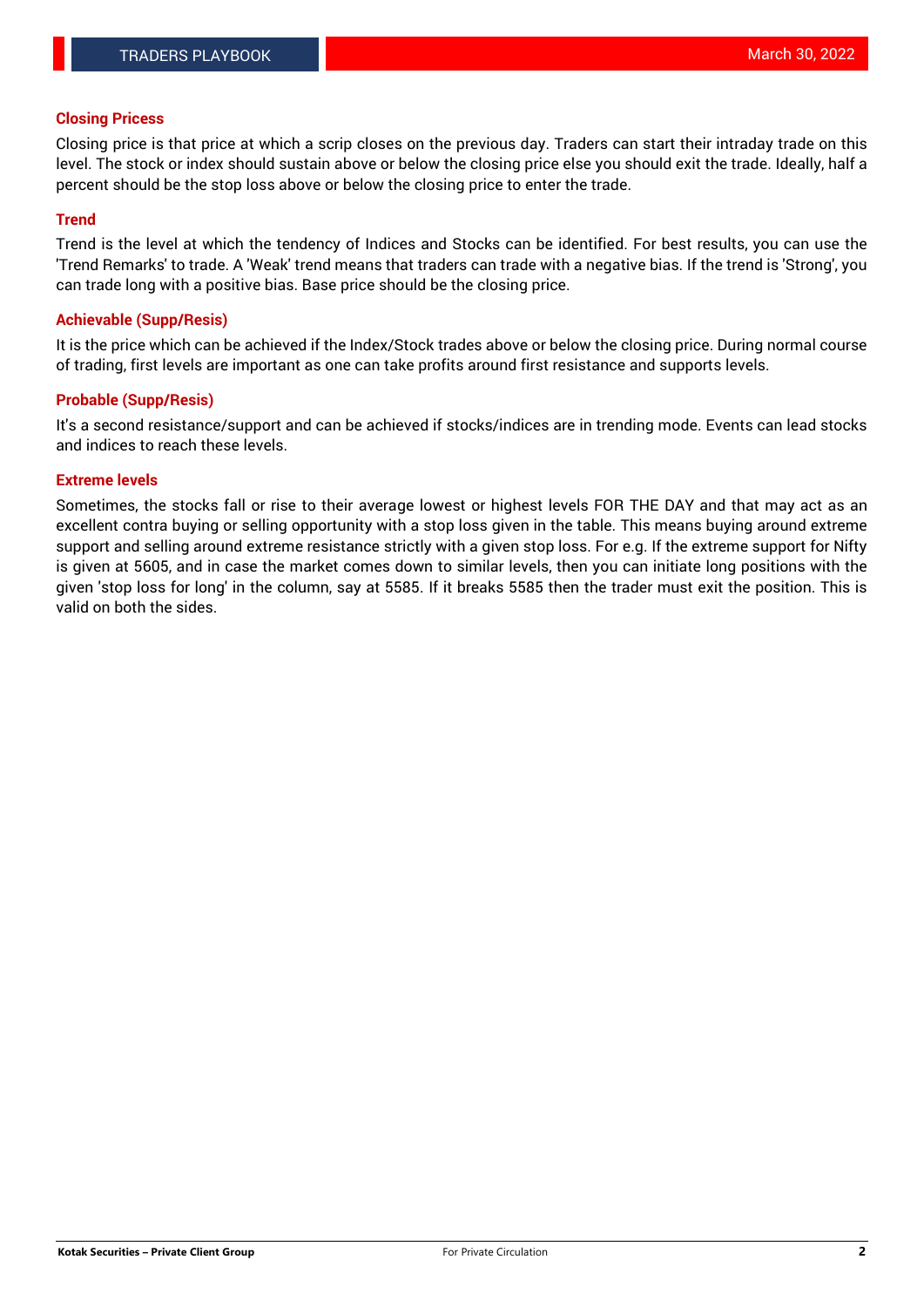#### **Closing Pricess**

Closing price is that price at which a scrip closes on the previous day. Traders can start their intraday trade on this level. The stock or index should sustain above or below the closing price else you should exit the trade. Ideally, half a percent should be the stop loss above or below the closing price to enter the trade.

#### **Trend**

Trend is the level at which the tendency of Indices and Stocks can be identified. For best results, you can use the 'Trend Remarks' to trade. A 'Weak' trend means that traders can trade with a negative bias. If the trend is 'Strong', you can trade long with a positive bias. Base price should be the closing price.

#### **Achievable (Supp/Resis)**

It is the price which can be achieved if the Index/Stock trades above or below the closing price. During normal course of trading, first levels are important as one can take profits around first resistance and supports levels.

### **Probable (Supp/Resis)**

It's a second resistance/support and can be achieved if stocks/indices are in trending mode. Events can lead stocks and indices to reach these levels.

### **Extreme levels**

Sometimes, the stocks fall or rise to their average lowest or highest levels FOR THE DAY and that may act as an excellent contra buying or selling opportunity with a stop loss given in the table. This means buying around extreme support and selling around extreme resistance strictly with a given stop loss. For e.g. If the extreme support for Nifty is given at 5605, and in case the market comes down to similar levels, then you can initiate long positions with the given 'stop loss for long' in the column, say at 5585. If it breaks 5585 then the trader must exit the position. This is valid on both the sides.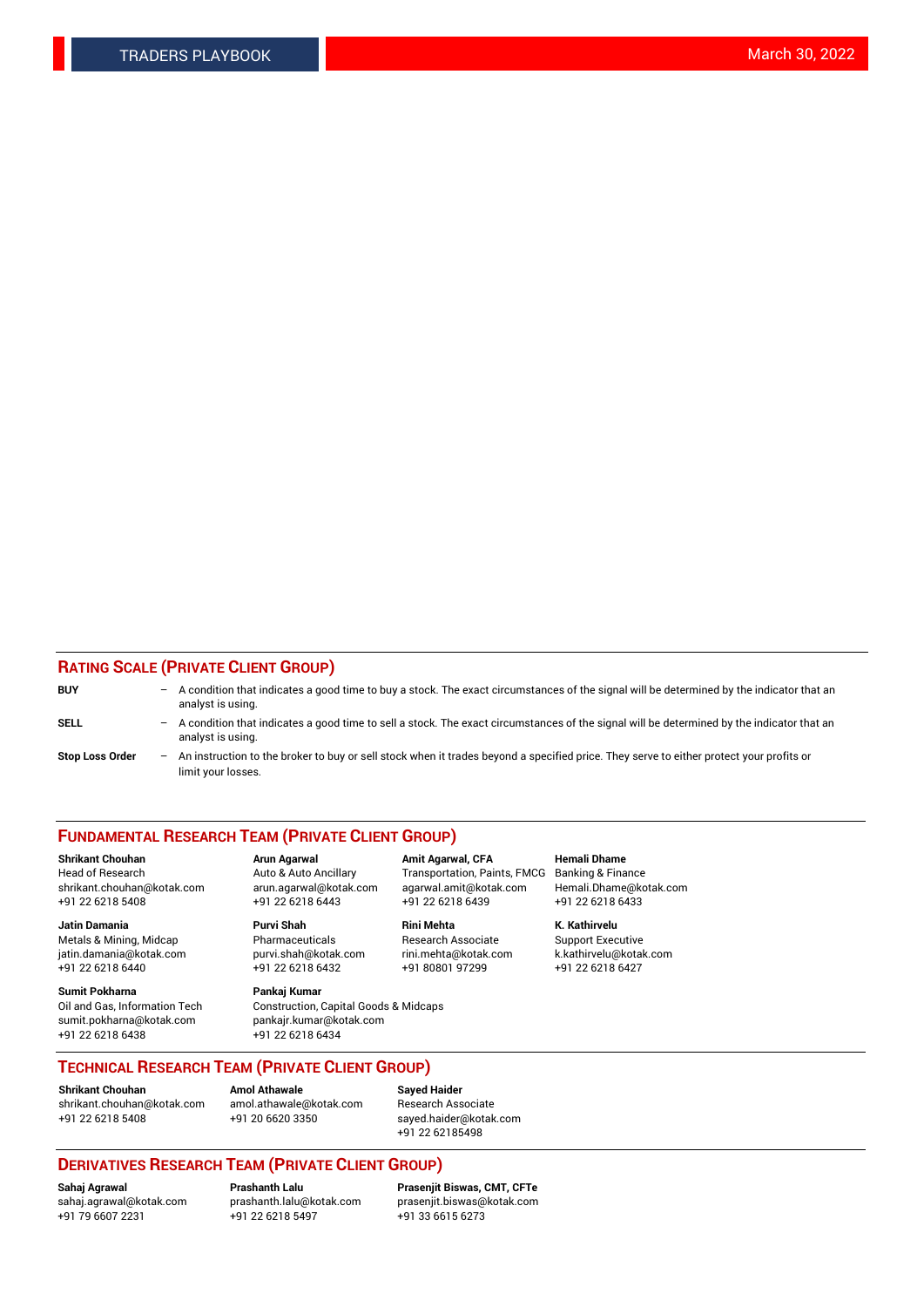### **RATING SCALE (PRIVATE CLIENT GROUP)**

| <b>BUY</b>             | $-$ | A condition that indicates a good time to buy a stock. The exact circumstances of the signal will be determined by the indicator that an<br>analyst is using.    |
|------------------------|-----|------------------------------------------------------------------------------------------------------------------------------------------------------------------|
| <b>SELL</b>            |     | - A condition that indicates a good time to sell a stock. The exact circumstances of the signal will be determined by the indicator that an<br>analyst is using. |
| <b>Stop Loss Order</b> |     | An instruction to the broker to buy or sell stock when it trades beyond a specified price. They serve to either protect your profits or<br>limit your losses.    |

#### **FUNDAMENTAL RESEARCH TEAM (PRIVATE CLIENT GROUP)**

**Shrikant Chouhan Arun Agarwal Amit Agarwal, CFA Hemali Dhame** Head of Research Auto & Auto Ancillary Transportation, Paints, FMCG Banking & Finance shrikant.chouhan@kotak.com arun.agarwal@kotak.com agarwal.amit@kotak.com Hemali.Dhame@kotak.com

**Jatin Damania Purvi Shah Rini Mehta K. Kathirvelu** Metals & Mining, Midcap **Pharmaceuticals** Research Associate Support Executive jatin.damania@kotak.com [purvi.shah@kotak.com](mailto:purvi.shah@kotak.com) rini.mehta@kotak.com [k.kathirvelu@kotak.com](mailto:k.kathirvelu@kotak.com)  $+91$  22 6218 6440  $+91$  22 6218 6432

**Sumit Pokharna Pankaj Kumar** sumit.pokharna@kotak.com pankajr.kumar@kotak.com +91 22 6218 6438 +91 22 6218 6434

Oil and Gas, Information Tech Construction, Capital Goods & Midcaps

+91 22 6218 5408 +91 22 6218 6443 +91 22 6218 6439 +91 22 6218 6433

**TECHNICAL RESEARCH TEAM (PRIVATE CLIENT GROUP)**

**Shrikant Chouhan Amol Athawale Sayed Haider** [shrikant.chouhan@kotak.com](mailto:shrikant.chouhan@kotak.com) [amol.athawale@kotak.com](mailto:amol.athawale@kotak.com) Research Associate +91 22 6218 5408 +91 20 6620 3350 [sayed.haider@kotak.com](mailto:sayed.haider@kotak.com)

+91 22 62185498

## **DERIVATIVES RESEARCH TEAM (PRIVATE CLIENT GROUP)**

 $+91$  22 6218 5497

**Sahaj Agrawal Prashanth Lalu Prasenjit Biswas, CMT, CFTe** [sahaj.agrawal@kotak.com](mailto:sahaj.agrawal@kotak.com) [prashanth.lalu@kotak.com](mailto:prashanth.lalu@kotak.com) [prasenjit.biswas@kotak.com](mailto:prasenjit.biswas@kotak.com)